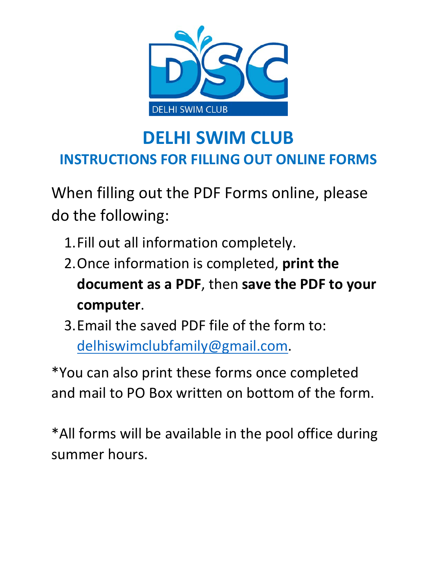

## **DELHI SWIM CLUB INSTRUCTIONS FOR FILLING OUT ONLINE FORMS**

When filling out the PDF Forms online, please do the following:

- 1.Fill out all information completely.
- 2.Once information is completed, **print the document as a PDF**, then **save the PDF to your computer**.
- 3.Email the saved PDF file of the form to: delhiswimclubfamily@gmail.com.

\*You can also print these forms once completed and mail to PO Box written on bottom of the form.

\*All forms will be available in the pool office during summer hours.